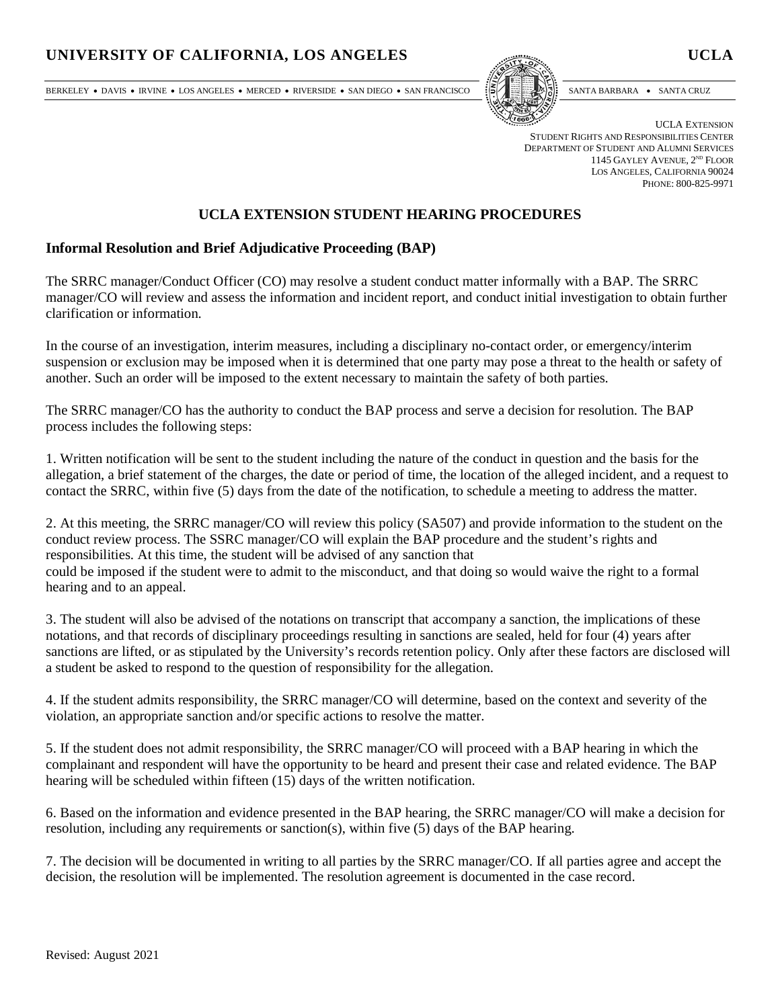### UNIVERSITY OF CALIFORNIA, LOS ANGELES UCLA

BERKELEY • DAVIS • IRVINE • LOS ANGELES • MERCED • RIVERSIDE • SAN DIEGO • SAN FRANCISCO [57]



UCLA EXTENSION STUDENT RIGHTS AND RESPONSIBILITIES CENTER DEPARTMENT OF STUDENT AND ALUMNI SERVICES 1145 GAYLEY AVENUE, 2<sup>ND</sup> FLOOR LOS ANGELES, CALIFORNIA 90024 PHONE: 800-825-9971

#### **UCLA EXTENSION STUDENT HEARING PROCEDURES**

#### **Informal Resolution and Brief Adjudicative Proceeding (BAP)**

The SRRC manager/Conduct Officer (CO) may resolve a student conduct matter informally with a BAP. The SRRC manager/CO will review and assess the information and incident report, and conduct initial investigation to obtain further clarification or information.

In the course of an investigation, interim measures, including a disciplinary no-contact order, or emergency/interim suspension or exclusion may be imposed when it is determined that one party may pose a threat to the health or safety of another. Such an order will be imposed to the extent necessary to maintain the safety of both parties.

The SRRC manager/CO has the authority to conduct the BAP process and serve a decision for resolution. The BAP process includes the following steps:

1. Written notification will be sent to the student including the nature of the conduct in question and the basis for the allegation, a brief statement of the charges, the date or period of time, the location of the alleged incident, and a request to contact the SRRC, within five (5) days from the date of the notification, to schedule a meeting to address the matter.

2. At this meeting, the SRRC manager/CO will review this policy (SA507) and provide information to the student on the conduct review process. The SSRC manager/CO will explain the BAP procedure and the student's rights and responsibilities. At this time, the student will be advised of any sanction that could be imposed if the student were to admit to the misconduct, and that doing so would waive the right to a formal hearing and to an appeal.

3. The student will also be advised of the notations on transcript that accompany a sanction, the implications of these notations, and that records of disciplinary proceedings resulting in sanctions are sealed, held for four (4) years after sanctions are lifted, or as stipulated by the University's records retention policy. Only after these factors are disclosed will a student be asked to respond to the question of responsibility for the allegation.

4. If the student admits responsibility, the SRRC manager/CO will determine, based on the context and severity of the violation, an appropriate sanction and/or specific actions to resolve the matter.

5. If the student does not admit responsibility, the SRRC manager/CO will proceed with a BAP hearing in which the complainant and respondent will have the opportunity to be heard and present their case and related evidence. The BAP hearing will be scheduled within fifteen (15) days of the written notification.

6. Based on the information and evidence presented in the BAP hearing, the SRRC manager/CO will make a decision for resolution, including any requirements or sanction(s), within five (5) days of the BAP hearing.

7. The decision will be documented in writing to all parties by the SRRC manager/CO. If all parties agree and accept the decision, the resolution will be implemented. The resolution agreement is documented in the case record.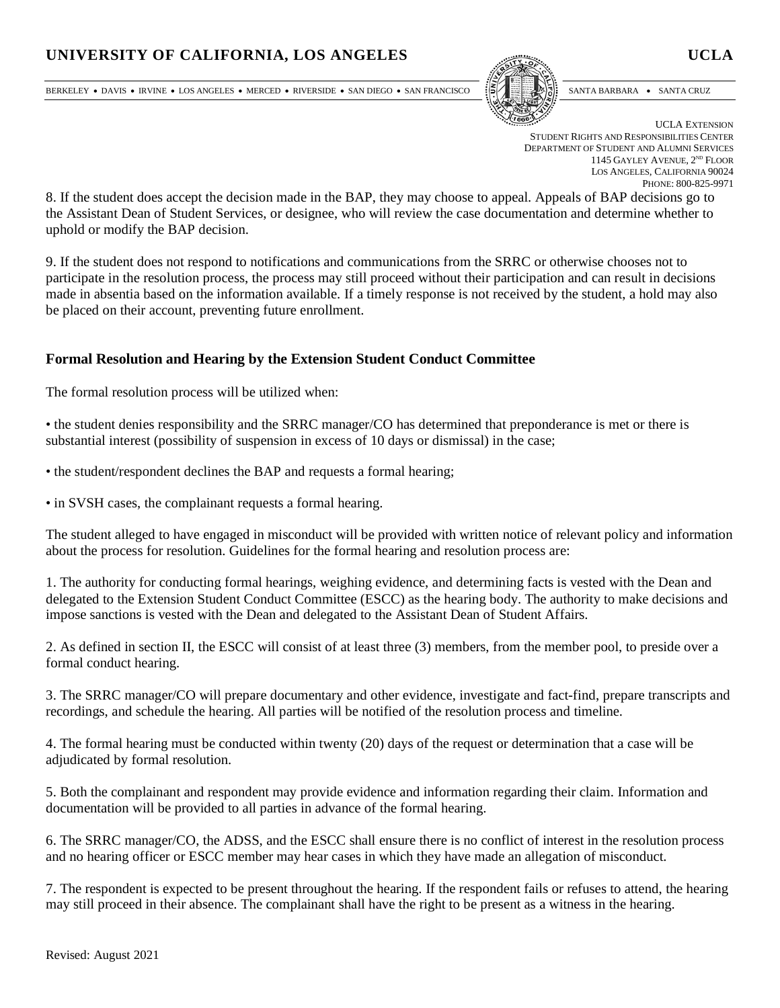# UNIVERSITY OF CALIFORNIA, LOS ANGELES UCLA

BERKELEY • DAVIS • IRVINE • LOS ANGELES • MERCED • RIVERSIDE • SAN DIEGO • SAN FRANCISCO [57]



UCLA EXTENSION STUDENT RIGHTS AND RESPONSIBILITIES CENTER DEPARTMENT OF STUDENT AND ALUMNI SERVICES 1145 GAYLEY AVENUE, 2<sup>ND</sup> FLOOR LOS ANGELES, CALIFORNIA 90024 PHONE: 800-825-9971

8. If the student does accept the decision made in the BAP, they may choose to appeal. Appeals of BAP decisions go to the Assistant Dean of Student Services, or designee, who will review the case documentation and determine whether to uphold or modify the BAP decision.

9. If the student does not respond to notifications and communications from the SRRC or otherwise chooses not to participate in the resolution process, the process may still proceed without their participation and can result in decisions made in absentia based on the information available. If a timely response is not received by the student, a hold may also be placed on their account, preventing future enrollment.

#### **Formal Resolution and Hearing by the Extension Student Conduct Committee**

The formal resolution process will be utilized when:

• the student denies responsibility and the SRRC manager/CO has determined that preponderance is met or there is substantial interest (possibility of suspension in excess of 10 days or dismissal) in the case;

• the student/respondent declines the BAP and requests a formal hearing;

• in SVSH cases, the complainant requests a formal hearing.

The student alleged to have engaged in misconduct will be provided with written notice of relevant policy and information about the process for resolution. Guidelines for the formal hearing and resolution process are:

1. The authority for conducting formal hearings, weighing evidence, and determining facts is vested with the Dean and delegated to the Extension Student Conduct Committee (ESCC) as the hearing body. The authority to make decisions and impose sanctions is vested with the Dean and delegated to the Assistant Dean of Student Affairs.

2. As defined in section II, the ESCC will consist of at least three (3) members, from the member pool, to preside over a formal conduct hearing.

3. The SRRC manager/CO will prepare documentary and other evidence, investigate and fact-find, prepare transcripts and recordings, and schedule the hearing. All parties will be notified of the resolution process and timeline.

4. The formal hearing must be conducted within twenty (20) days of the request or determination that a case will be adjudicated by formal resolution.

5. Both the complainant and respondent may provide evidence and information regarding their claim. Information and documentation will be provided to all parties in advance of the formal hearing.

6. The SRRC manager/CO, the ADSS, and the ESCC shall ensure there is no conflict of interest in the resolution process and no hearing officer or ESCC member may hear cases in which they have made an allegation of misconduct.

7. The respondent is expected to be present throughout the hearing. If the respondent fails or refuses to attend, the hearing may still proceed in their absence. The complainant shall have the right to be present as a witness in the hearing.